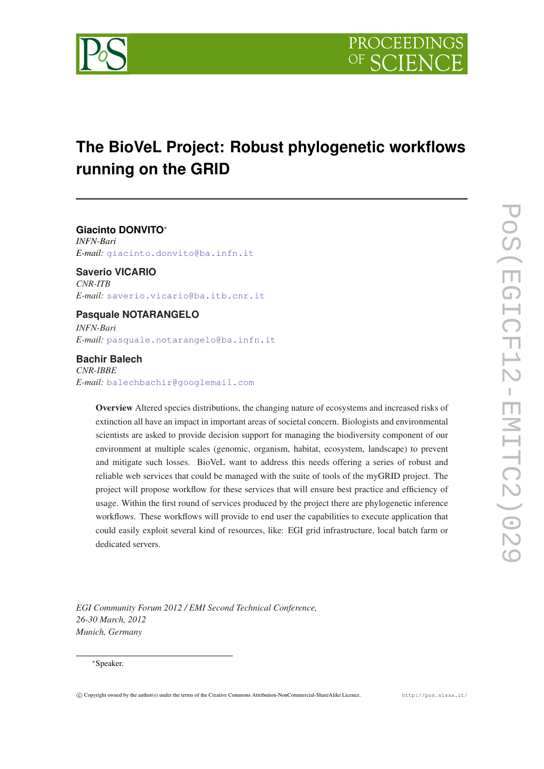

# **The BioVeL Project: Robust phylogenetic workflows running on the GRID**

**Giacinto DONVITO**<sup>∗</sup> *INFN-Bari E-mail:* [giacinto.donvito@ba.infn.it](mailto:giacinto.donvito@ba.infn.it)

**Saverio VICARIO** *CNR-ITB E-mail:* [saverio.vicario@ba.itb.cnr.it](mailto:saverio.vicario@ba.itb.cnr.it)

# **Pasquale NOTARANGELO**

*INFN-Bari E-mail:* [pasquale.notarangelo@ba.infn.it](mailto:pasquale.notarangelo@ba.infn.it)

# **Bachir Balech**

*CNR-IBBE E-mail:* [balechbachir@googlemail.com](mailto:balechbachir@googlemail.com)

> Overview Altered species distributions, the changing nature of ecosystems and increased risks of extinction all have an impact in important areas of societal concern. Biologists and environmental scientists are asked to provide decision support for managing the biodiversity component of our environment at multiple scales (genomic, organism, habitat, ecosystem, landscape) to prevent and mitigate such losses. BioVeL want to address this needs offering a series of robust and reliable web services that could be managed with the suite of tools of the myGRID project. The project will propose workflow for these services that will ensure best practice and efficiency of usage. Within the first round of services produced by the project there are phylogenetic inference workflows. These workflows will provide to end user the capabilities to execute application that could easily exploit several kind of resources, like: EGI grid infrastructure, local batch farm or dedicated servers.

*EGI Community Forum 2012 / EMI Second Technical Conference, 26-30 March, 2012 Munich, Germany*

### <sup>∗</sup>Speaker.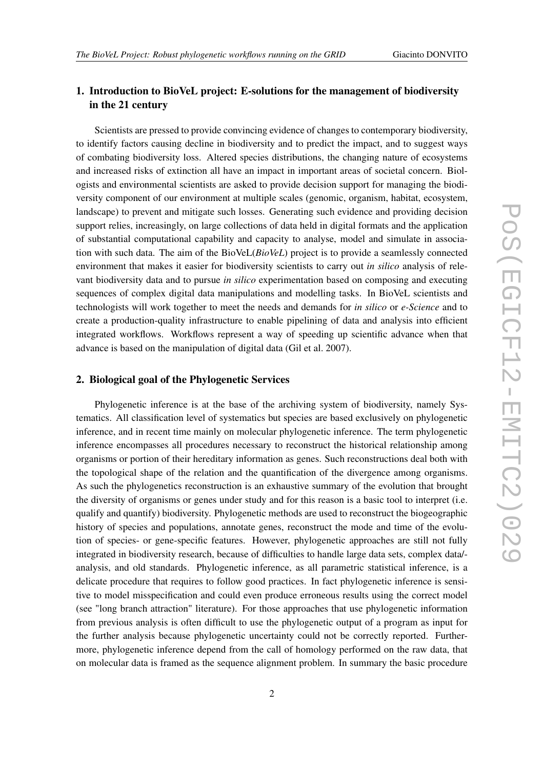# 1. Introduction to BioVeL project: E-solutions for the management of biodiversity in the 21 century

Scientists are pressed to provide convincing evidence of changes to contemporary biodiversity, to identify factors causing decline in biodiversity and to predict the impact, and to suggest ways of combating biodiversity loss. Altered species distributions, the changing nature of ecosystems and increased risks of extinction all have an impact in important areas of societal concern. Biologists and environmental scientists are asked to provide decision support for managing the biodiversity component of our environment at multiple scales (genomic, organism, habitat, ecosystem, landscape) to prevent and mitigate such losses. Generating such evidence and providing decision support relies, increasingly, on large collections of data held in digital formats and the application of substantial computational capability and capacity to analyse, model and simulate in association with such data. The aim of the BioVeL(*BioVeL*) project is to provide a seamlessly connected environment that makes it easier for biodiversity scientists to carry out *in silico* analysis of relevant biodiversity data and to pursue *in silico* experimentation based on composing and executing sequences of complex digital data manipulations and modelling tasks. In BioVeL scientists and technologists will work together to meet the needs and demands for *in silico* or *e-Science* and to create a production-quality infrastructure to enable pipelining of data and analysis into efficient integrated workflows. Workflows represent a way of speeding up scientific advance when that advance is based on the manipulation of digital data (Gil et al. 2007).

# 2. Biological goal of the Phylogenetic Services

Phylogenetic inference is at the base of the archiving system of biodiversity, namely Systematics. All classification level of systematics but species are based exclusively on phylogenetic inference, and in recent time mainly on molecular phylogenetic inference. The term phylogenetic inference encompasses all procedures necessary to reconstruct the historical relationship among organisms or portion of their hereditary information as genes. Such reconstructions deal both with the topological shape of the relation and the quantification of the divergence among organisms. As such the phylogenetics reconstruction is an exhaustive summary of the evolution that brought the diversity of organisms or genes under study and for this reason is a basic tool to interpret (i.e. qualify and quantify) biodiversity. Phylogenetic methods are used to reconstruct the biogeographic history of species and populations, annotate genes, reconstruct the mode and time of the evolution of species- or gene-specific features. However, phylogenetic approaches are still not fully integrated in biodiversity research, because of difficulties to handle large data sets, complex data/ analysis, and old standards. Phylogenetic inference, as all parametric statistical inference, is a delicate procedure that requires to follow good practices. In fact phylogenetic inference is sensitive to model misspecification and could even produce erroneous results using the correct model (see "long branch attraction" literature). For those approaches that use phylogenetic information from previous analysis is often difficult to use the phylogenetic output of a program as input for the further analysis because phylogenetic uncertainty could not be correctly reported. Furthermore, phylogenetic inference depend from the call of homology performed on the raw data, that on molecular data is framed as the sequence alignment problem. In summary the basic procedure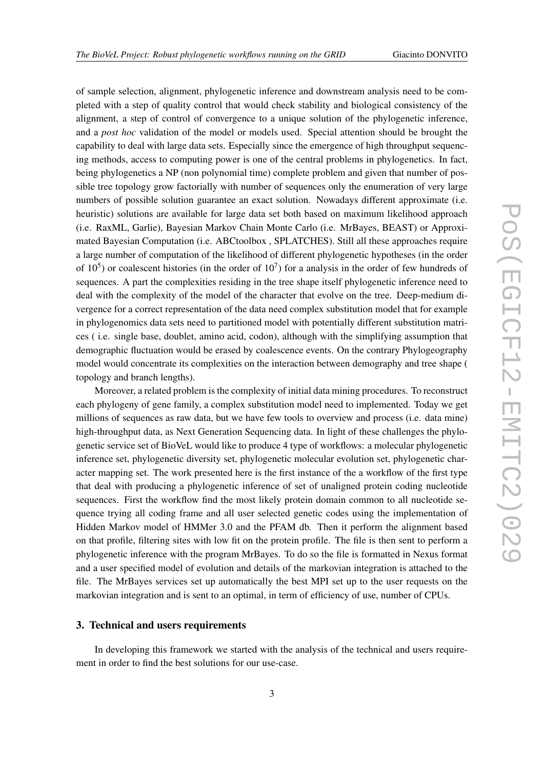of sample selection, alignment, phylogenetic inference and downstream analysis need to be completed with a step of quality control that would check stability and biological consistency of the alignment, a step of control of convergence to a unique solution of the phylogenetic inference, and a *post hoc* validation of the model or models used. Special attention should be brought the capability to deal with large data sets. Especially since the emergence of high throughput sequencing methods, access to computing power is one of the central problems in phylogenetics. In fact, being phylogenetics a NP (non polynomial time) complete problem and given that number of possible tree topology grow factorially with number of sequences only the enumeration of very large numbers of possible solution guarantee an exact solution. Nowadays different approximate (i.e. heuristic) solutions are available for large data set both based on maximum likelihood approach (i.e. RaxML, Garlie), Bayesian Markov Chain Monte Carlo (i.e. MrBayes, BEAST) or Approximated Bayesian Computation (i.e. ABCtoolbox , SPLATCHES). Still all these approaches require a large number of computation of the likelihood of different phylogenetic hypotheses (in the order of  $10<sup>5</sup>$ ) or coalescent histories (in the order of  $10<sup>7</sup>$ ) for a analysis in the order of few hundreds of sequences. A part the complexities residing in the tree shape itself phylogenetic inference need to deal with the complexity of the model of the character that evolve on the tree. Deep-medium divergence for a correct representation of the data need complex substitution model that for example in phylogenomics data sets need to partitioned model with potentially different substitution matrices ( i.e. single base, doublet, amino acid, codon), although with the simplifying assumption that demographic fluctuation would be erased by coalescence events. On the contrary Phylogeography model would concentrate its complexities on the interaction between demography and tree shape ( topology and branch lengths).

Moreover, a related problem is the complexity of initial data mining procedures. To reconstruct each phylogeny of gene family, a complex substitution model need to implemented. Today we get millions of sequences as raw data, but we have few tools to overview and process (i.e. data mine) high-throughput data, as Next Generation Sequencing data. In light of these challenges the phylogenetic service set of BioVeL would like to produce 4 type of workflows: a molecular phylogenetic inference set, phylogenetic diversity set, phylogenetic molecular evolution set, phylogenetic character mapping set. The work presented here is the first instance of the a workflow of the first type that deal with producing a phylogenetic inference of set of unaligned protein coding nucleotide sequences. First the workflow find the most likely protein domain common to all nucleotide sequence trying all coding frame and all user selected genetic codes using the implementation of Hidden Markov model of HMMer 3.0 and the PFAM db. Then it perform the alignment based on that profile, filtering sites with low fit on the protein profile. The file is then sent to perform a phylogenetic inference with the program MrBayes. To do so the file is formatted in Nexus format and a user specified model of evolution and details of the markovian integration is attached to the file. The MrBayes services set up automatically the best MPI set up to the user requests on the markovian integration and is sent to an optimal, in term of efficiency of use, number of CPUs.

### 3. Technical and users requirements

In developing this framework we started with the analysis of the technical and users requirement in order to find the best solutions for our use-case.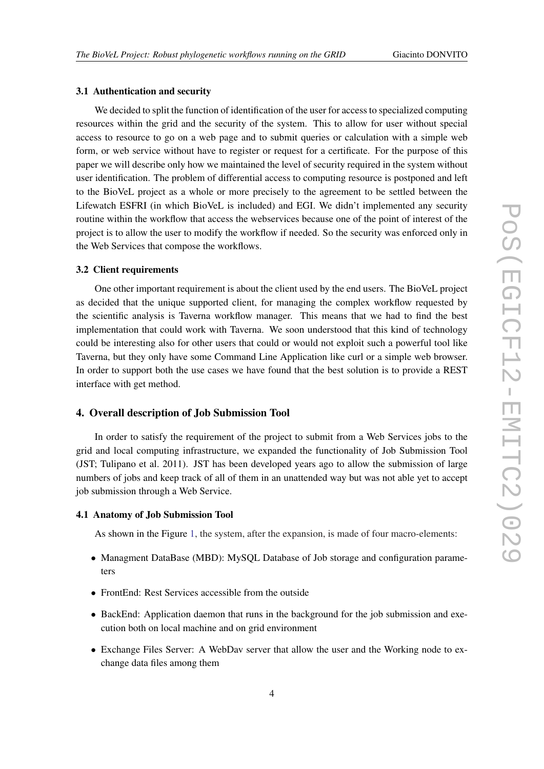#### 3.1 Authentication and security

We decided to split the function of identification of the user for access to specialized computing resources within the grid and the security of the system. This to allow for user without special access to resource to go on a web page and to submit queries or calculation with a simple web form, or web service without have to register or request for a certificate. For the purpose of this paper we will describe only how we maintained the level of security required in the system without user identification. The problem of differential access to computing resource is postponed and left to the BioVeL project as a whole or more precisely to the agreement to be settled between the Lifewatch ESFRI (in which BioVeL is included) and EGI. We didn't implemented any security routine within the workflow that access the webservices because one of the point of interest of the project is to allow the user to modify the workflow if needed. So the security was enforced only in the Web Services that compose the workflows.

### 3.2 Client requirements

One other important requirement is about the client used by the end users. The BioVeL project as decided that the unique supported client, for managing the complex workflow requested by the scientific analysis is Taverna workflow manager. This means that we had to find the best implementation that could work with Taverna. We soon understood that this kind of technology could be interesting also for other users that could or would not exploit such a powerful tool like Taverna, but they only have some Command Line Application like curl or a simple web browser. In order to support both the use cases we have found that the best solution is to provide a REST interface with get method.

#### 4. Overall description of Job Submission Tool

In order to satisfy the requirement of the project to submit from a Web Services jobs to the grid and local computing infrastructure, we expanded the functionality of Job Submission Tool (JST; Tulipano et al. 2011). JST has been developed years ago to allow the submission of large numbers of jobs and keep track of all of them in an unattended way but was not able yet to accept job submission through a Web Service.

#### 4.1 Anatomy of Job Submission Tool

As shown in the Figure [1](#page-4-0), the system, after the expansion, is made of four macro-elements:

- Managment DataBase (MBD): MySQL Database of Job storage and configuration parameters
- FrontEnd: Rest Services accessible from the outside
- BackEnd: Application daemon that runs in the background for the job submission and execution both on local machine and on grid environment
- Exchange Files Server: A WebDav server that allow the user and the Working node to exchange data files among them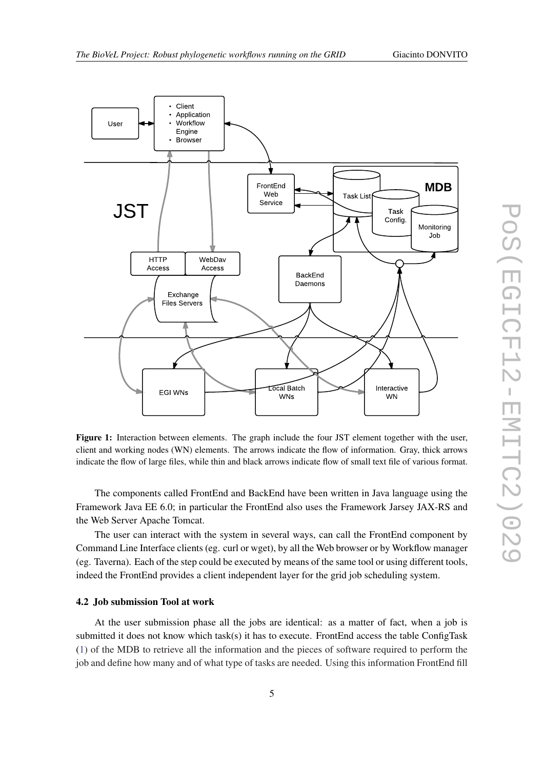<span id="page-4-0"></span>

Figure 1: Interaction between elements. The graph include the four JST element together with the user, client and working nodes (WN) elements. The arrows indicate the flow of information. Gray, thick arrows indicate the flow of large files, while thin and black arrows indicate flow of small text file of various format.

The components called FrontEnd and BackEnd have been written in Java language using the Framework Java EE 6.0; in particular the FrontEnd also uses the Framework Jarsey JAX-RS and the Web Server Apache Tomcat.

The user can interact with the system in several ways, can call the FrontEnd component by Command Line Interface clients (eg. curl or wget), by all the Web browser or by Workflow manager (eg. Taverna). Each of the step could be executed by means of the same tool or using different tools, indeed the FrontEnd provides a client independent layer for the grid job scheduling system.

#### 4.2 Job submission Tool at work

At the user submission phase all the jobs are identical: as a matter of fact, when a job is submitted it does not know which task(s) it has to execute. FrontEnd access the table ConfigTask ([1](#page-5-0)) of the MDB to retrieve all the information and the pieces of software required to perform the job and define how many and of what type of tasks are needed. Using this information FrontEnd fill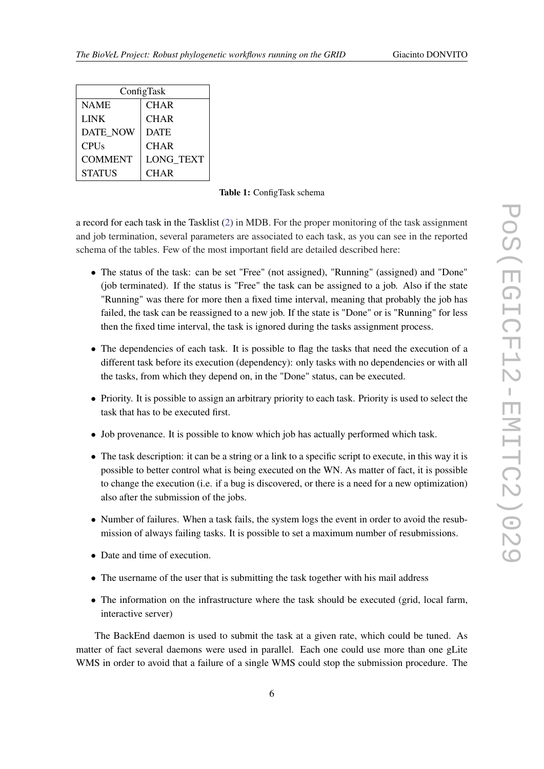<span id="page-5-0"></span>

| ConfigTask     |                  |  |
|----------------|------------------|--|
| <b>NAME</b>    | <b>CHAR</b>      |  |
| <b>LINK</b>    | <b>CHAR</b>      |  |
| DATE NOW       | <b>DATE</b>      |  |
| <b>CPUs</b>    | <b>CHAR</b>      |  |
| <b>COMMENT</b> | <b>LONG TEXT</b> |  |
| <b>STATUS</b>  | <b>CHAR</b>      |  |

Table 1: ConfigTask schema

a record for each task in the Tasklist [\(2\)](#page-6-0) in MDB. For the proper monitoring of the task assignment and job termination, several parameters are associated to each task, as you can see in the reported schema of the tables. Few of the most important field are detailed described here:

- The status of the task: can be set "Free" (not assigned), "Running" (assigned) and "Done" (job terminated). If the status is "Free" the task can be assigned to a job. Also if the state "Running" was there for more then a fixed time interval, meaning that probably the job has failed, the task can be reassigned to a new job. If the state is "Done" or is "Running" for less then the fixed time interval, the task is ignored during the tasks assignment process.
- The dependencies of each task. It is possible to flag the tasks that need the execution of a different task before its execution (dependency): only tasks with no dependencies or with all the tasks, from which they depend on, in the "Done" status, can be executed.
- Priority. It is possible to assign an arbitrary priority to each task. Priority is used to select the task that has to be executed first.
- Job provenance. It is possible to know which job has actually performed which task.
- The task description: it can be a string or a link to a specific script to execute, in this way it is possible to better control what is being executed on the WN. As matter of fact, it is possible to change the execution (i.e. if a bug is discovered, or there is a need for a new optimization) also after the submission of the jobs.
- Number of failures. When a task fails, the system logs the event in order to avoid the resubmission of always failing tasks. It is possible to set a maximum number of resubmissions.
- Date and time of execution.
- The username of the user that is submitting the task together with his mail address
- The information on the infrastructure where the task should be executed (grid, local farm, interactive server)

The BackEnd daemon is used to submit the task at a given rate, which could be tuned. As matter of fact several daemons were used in parallel. Each one could use more than one gLite WMS in order to avoid that a failure of a single WMS could stop the submission procedure. The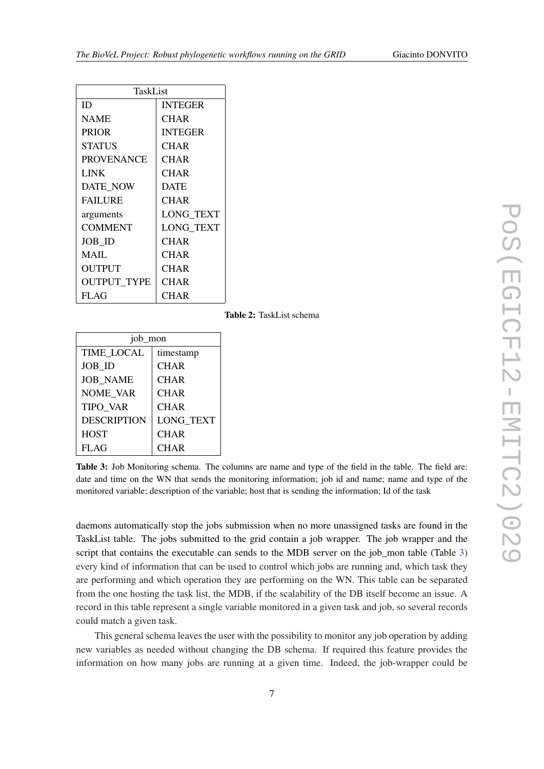<span id="page-6-0"></span>

| TaskList           |                  |  |
|--------------------|------------------|--|
| ID                 | <b>INTEGER</b>   |  |
| <b>NAME</b>        | CHAR             |  |
| <b>PRIOR</b>       | <b>INTEGER</b>   |  |
| <b>STATUS</b>      | CHAR             |  |
| <b>PROVENANCE</b>  | CHAR             |  |
| <b>LINK</b>        | CHAR             |  |
| <b>DATE NOW</b>    | <b>DATE</b>      |  |
| <b>FAILURE</b>     | CHAR             |  |
| arguments          | <b>LONG TEXT</b> |  |
| <b>COMMENT</b>     | <b>LONG TEXT</b> |  |
| JOB ID             | CHAR             |  |
| MAIL               | CHAR             |  |
| <b>OUTPUT</b>      | CHAR             |  |
| <b>OUTPUT TYPE</b> | <b>CHAR</b>      |  |
| <b>FLAG</b>        | CHAR             |  |

Table 2: TaskList schema

| job_mon            |                  |
|--------------------|------------------|
| <b>TIME LOCAL</b>  | timestamp        |
| <b>JOB ID</b>      | <b>CHAR</b>      |
| <b>JOB_NAME</b>    | <b>CHAR</b>      |
| <b>NOME VAR</b>    | <b>CHAR</b>      |
| <b>TIPO VAR</b>    | <b>CHAR</b>      |
| <b>DESCRIPTION</b> | <b>LONG TEXT</b> |
| <b>HOST</b>        | <b>CHAR</b>      |
| <b>FLAG</b>        | <b>CHAR</b>      |

Table 3: Job Monitoring schema. The columns are name and type of the field in the table. The field are: date and time on the WN that sends the monitoring information; job id and name; name and type of the monitored variable; description of the variable; host that is sending the information; Id of the task

daemons automatically stop the jobs submission when no more unassigned tasks are found in the TaskList table. The jobs submitted to the grid contain a job wrapper. The job wrapper and the script that contains the executable can sends to the MDB server on the job\_mon table (Table 3) every kind of information that can be used to control which jobs are running and, which task they are performing and which operation they are performing on the WN. This table can be separated from the one hosting the task list, the MDB, if the scalability of the DB itself become an issue. A record in this table represent a single variable monitored in a given task and job, so several records could match a given task.

This general schema leaves the user with the possibility to monitor any job operation by adding new variables as needed without changing the DB schema. If required this feature provides the information on how many jobs are running at a given time. Indeed, the job-wrapper could be

7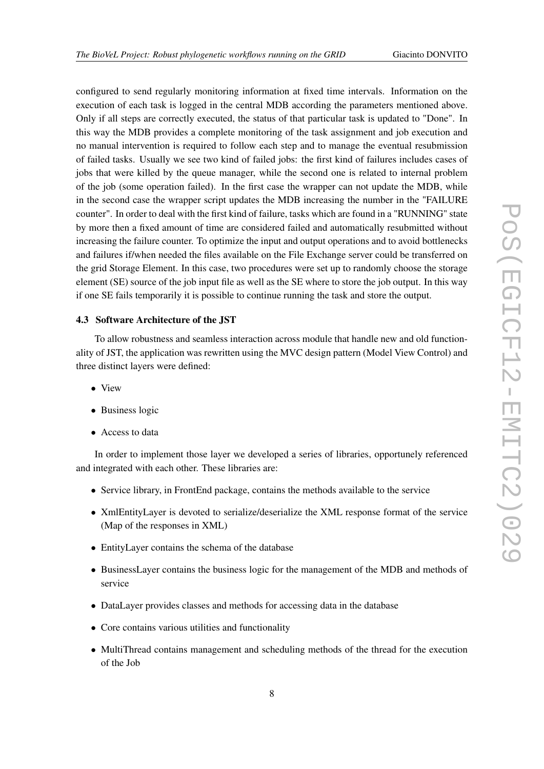configured to send regularly monitoring information at fixed time intervals. Information on the execution of each task is logged in the central MDB according the parameters mentioned above. Only if all steps are correctly executed, the status of that particular task is updated to "Done". In this way the MDB provides a complete monitoring of the task assignment and job execution and no manual intervention is required to follow each step and to manage the eventual resubmission of failed tasks. Usually we see two kind of failed jobs: the first kind of failures includes cases of jobs that were killed by the queue manager, while the second one is related to internal problem of the job (some operation failed). In the first case the wrapper can not update the MDB, while in the second case the wrapper script updates the MDB increasing the number in the "FAILURE counter". In order to deal with the first kind of failure, tasks which are found in a "RUNNING" state by more then a fixed amount of time are considered failed and automatically resubmitted without increasing the failure counter. To optimize the input and output operations and to avoid bottlenecks and failures if/when needed the files available on the File Exchange server could be transferred on the grid Storage Element. In this case, two procedures were set up to randomly choose the storage element (SE) source of the job input file as well as the SE where to store the job output. In this way if one SE fails temporarily it is possible to continue running the task and store the output.

### 4.3 Software Architecture of the JST

To allow robustness and seamless interaction across module that handle new and old functionality of JST, the application was rewritten using the MVC design pattern (Model View Control) and three distinct layers were defined:

- View
- Business logic
- Access to data

In order to implement those layer we developed a series of libraries, opportunely referenced and integrated with each other. These libraries are:

- Service library, in FrontEnd package, contains the methods available to the service
- XmlEntityLayer is devoted to serialize/deserialize the XML response format of the service (Map of the responses in XML)
- EntityLayer contains the schema of the database
- BusinessLayer contains the business logic for the management of the MDB and methods of service
- DataLayer provides classes and methods for accessing data in the database
- Core contains various utilities and functionality
- MultiThread contains management and scheduling methods of the thread for the execution of the Job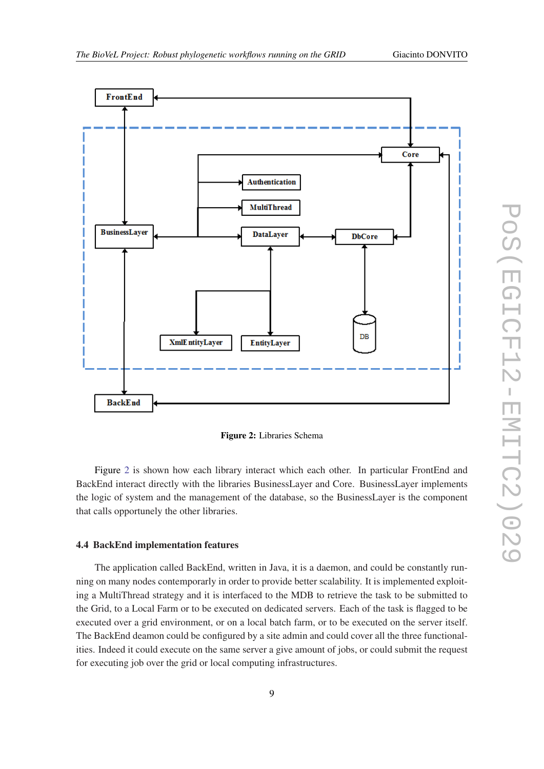



Figure 2: Libraries Schema

Figure 2 is shown how each library interact which each other. In particular FrontEnd and BackEnd interact directly with the libraries BusinessLayer and Core. BusinessLayer implements the logic of system and the management of the database, so the BusinessLayer is the component that calls opportunely the other libraries.

### 4.4 BackEnd implementation features

The application called BackEnd, written in Java, it is a daemon, and could be constantly running on many nodes contemporarly in order to provide better scalability. It is implemented exploiting a MultiThread strategy and it is interfaced to the MDB to retrieve the task to be submitted to the Grid, to a Local Farm or to be executed on dedicated servers. Each of the task is flagged to be executed over a grid environment, or on a local batch farm, or to be executed on the server itself. The BackEnd deamon could be configured by a site admin and could cover all the three functionalities. Indeed it could execute on the same server a give amount of jobs, or could submit the request for executing job over the grid or local computing infrastructures.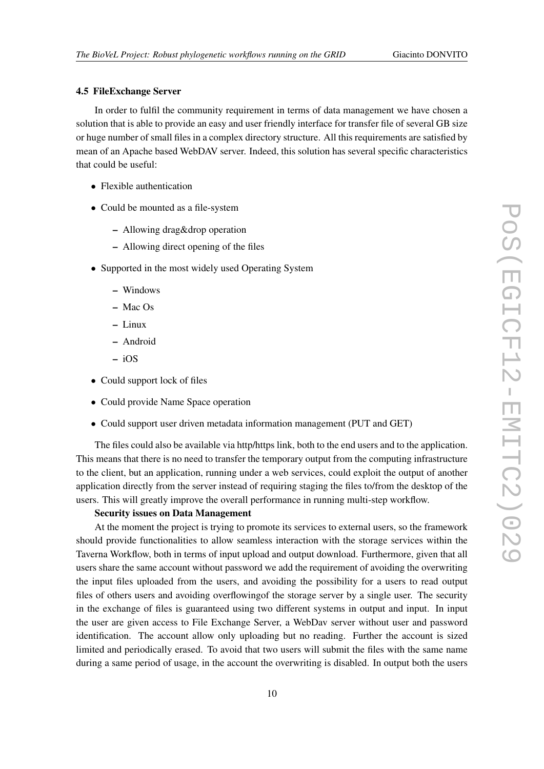#### 4.5 FileExchange Server

In order to fulfil the community requirement in terms of data management we have chosen a solution that is able to provide an easy and user friendly interface for transfer file of several GB size or huge number of small files in a complex directory structure. All this requirements are satisfied by mean of an Apache based WebDAV server. Indeed, this solution has several specific characteristics that could be useful:

- Flexible authentication
- Could be mounted as a file-system
	- Allowing drag&drop operation
	- Allowing direct opening of the files
- Supported in the most widely used Operating System
	- Windows
	- Mac Os
	- Linux
	- Android
	- iOS
- Could support lock of files
- Could provide Name Space operation
- Could support user driven metadata information management (PUT and GET)

The files could also be available via http/https link, both to the end users and to the application. This means that there is no need to transfer the temporary output from the computing infrastructure to the client, but an application, running under a web services, could exploit the output of another application directly from the server instead of requiring staging the files to/from the desktop of the users. This will greatly improve the overall performance in running multi-step workflow.

#### Security issues on Data Management

At the moment the project is trying to promote its services to external users, so the framework should provide functionalities to allow seamless interaction with the storage services within the Taverna Workflow, both in terms of input upload and output download. Furthermore, given that all users share the same account without password we add the requirement of avoiding the overwriting the input files uploaded from the users, and avoiding the possibility for a users to read output files of others users and avoiding overflowingof the storage server by a single user. The security in the exchange of files is guaranteed using two different systems in output and input. In input the user are given access to File Exchange Server, a WebDav server without user and password identification. The account allow only uploading but no reading. Further the account is sized limited and periodically erased. To avoid that two users will submit the files with the same name during a same period of usage, in the account the overwriting is disabled. In output both the users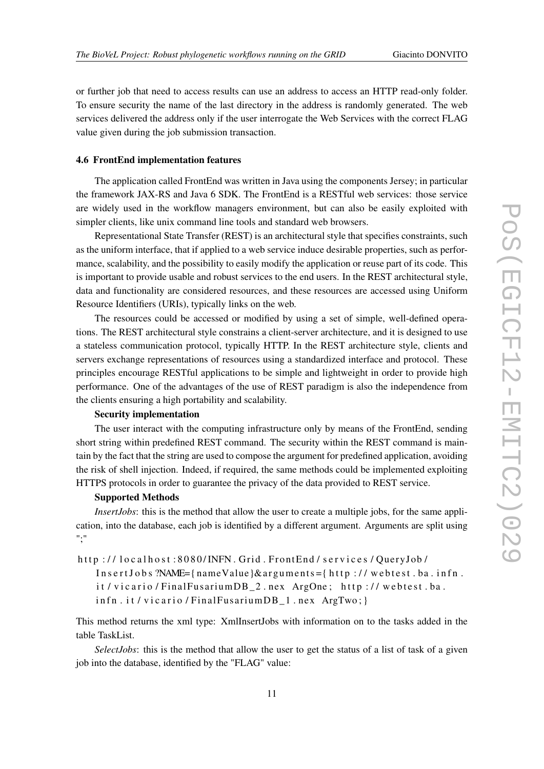or further job that need to access results can use an address to access an HTTP read-only folder. To ensure security the name of the last directory in the address is randomly generated. The web services delivered the address only if the user interrogate the Web Services with the correct FLAG value given during the job submission transaction.

#### 4.6 FrontEnd implementation features

The application called FrontEnd was written in Java using the components Jersey; in particular the framework JAX-RS and Java 6 SDK. The FrontEnd is a RESTful web services: those service are widely used in the workflow managers environment, but can also be easily exploited with simpler clients, like unix command line tools and standard web browsers.

Representational State Transfer (REST) is an architectural style that specifies constraints, such as the uniform interface, that if applied to a web service induce desirable properties, such as performance, scalability, and the possibility to easily modify the application or reuse part of its code. This is important to provide usable and robust services to the end users. In the REST architectural style, data and functionality are considered resources, and these resources are accessed using Uniform Resource Identifiers (URIs), typically links on the web.

The resources could be accessed or modified by using a set of simple, well-defined operations. The REST architectural style constrains a client-server architecture, and it is designed to use a stateless communication protocol, typically HTTP. In the REST architecture style, clients and servers exchange representations of resources using a standardized interface and protocol. These principles encourage RESTful applications to be simple and lightweight in order to provide high performance. One of the advantages of the use of REST paradigm is also the independence from the clients ensuring a high portability and scalability.

#### Security implementation

The user interact with the computing infrastructure only by means of the FrontEnd, sending short string within predefined REST command. The security within the REST command is maintain by the fact that the string are used to compose the argument for predefined application, avoiding the risk of shell injection. Indeed, if required, the same methods could be implemented exploiting HTTPS protocols in order to guarantee the privacy of the data provided to REST service.

#### Supported Methods

*InsertJobs*: this is the method that allow the user to create a multiple jobs, for the same application, into the database, each job is identified by a different argument. Arguments are split using ";"

```
http://localhost:8080/INFN. Grid. FrontEnd/services/QueryJob/
```
 $Insert Jobs$  ?NAME={ $nameValue$ }  $&arguments =$ { $http://webtest.ba.infn.$ } it / vicario / FinalFusariumDB\_2.nex ArgOne; http://webtest.ba. infn. it / vicario / FinalFusariumDB\_1.nex ArgTwo; }

This method returns the xml type: XmlInsertJobs with information on to the tasks added in the table TaskList.

*SelectJobs*: this is the method that allow the user to get the status of a list of task of a given job into the database, identified by the "FLAG" value: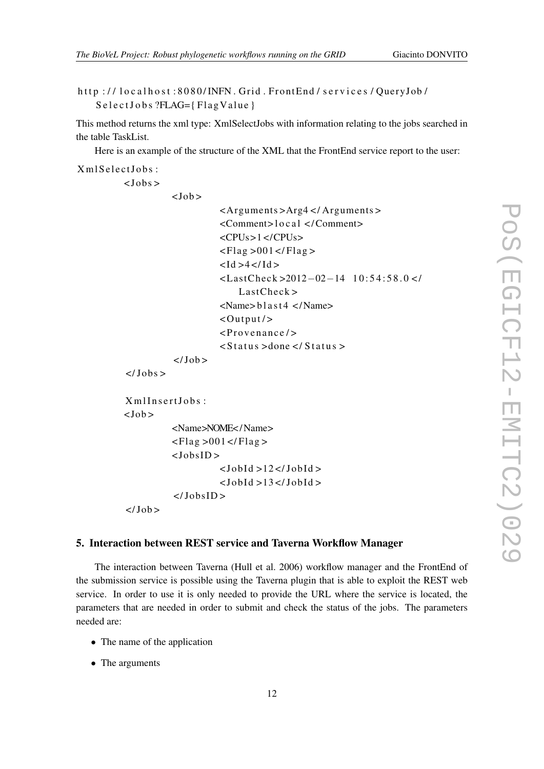```
http://localhost:8080/INFN. Grid. FrontEnd/services/QueryJob/
   S e l e c t J o b s ?FLAG={Flag V a l u e }
```
This method returns the xml type: XmlSelectJobs with information relating to the jobs searched in the table TaskList.

Here is an example of the structure of the XML that the FrontEnd service report to the user:

```
Xml S el e ct J o b s :
```
 $<$ Jobs  $>$ 

 $<$ Job  $>$ 

```
<A rguments >Arg4 </ A rguments >
                      <Comment> l o c a l </ Comment>
                      <CPUs>1 </CPUs>
                      \langleFlag >001\langle/Flag >
                      <Id >4</Id >
                      <La stC hec k >2012−02−14 1 0 : 5 4 : 5 8 . 0 < /
                           LastCheck<Name>blast 4 </Name>\langleOutput/>
                      < P r o v e n a n c e / >
                      \langleStatus >done \langle/Status >
           \langle/ Job >
</Jobs>
X m I I n s e r I o b s :
           <Name>NOME</ Name>
           \langleFlag >001 </Flag >
           <JobsID >
                      < JobId >12</JobId >
                      < JobId > 13</JobId >
```
 $\langle$ /Job >

 $<$ Job >

### 5. Interaction between REST service and Taverna Workflow Manager

 $<$ /JobsID >

The interaction between Taverna (Hull et al. 2006) workflow manager and the FrontEnd of the submission service is possible using the Taverna plugin that is able to exploit the REST web service. In order to use it is only needed to provide the URL where the service is located, the parameters that are needed in order to submit and check the status of the jobs. The parameters needed are:

- The name of the application
- The arguments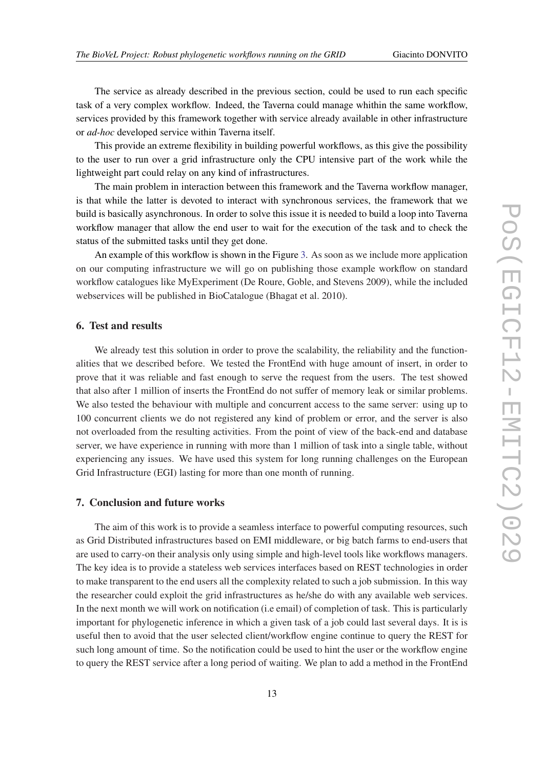The service as already described in the previous section, could be used to run each specific task of a very complex workflow. Indeed, the Taverna could manage whithin the same workflow, services provided by this framework together with service already available in other infrastructure or *ad-hoc* developed service within Taverna itself.

This provide an extreme flexibility in building powerful workflows, as this give the possibility to the user to run over a grid infrastructure only the CPU intensive part of the work while the lightweight part could relay on any kind of infrastructures.

The main problem in interaction between this framework and the Taverna workflow manager, is that while the latter is devoted to interact with synchronous services, the framework that we build is basically asynchronous. In order to solve this issue it is needed to build a loop into Taverna workflow manager that allow the end user to wait for the execution of the task and to check the status of the submitted tasks until they get done.

An example of this workflow is shown in the Figure [3.](#page-13-0) As soon as we include more application on our computing infrastructure we will go on publishing those example workflow on standard workflow catalogues like MyExperiment (De Roure, Goble, and Stevens 2009), while the included webservices will be published in BioCatalogue (Bhagat et al. 2010).

### 6. Test and results

We already test this solution in order to prove the scalability, the reliability and the functionalities that we described before. We tested the FrontEnd with huge amount of insert, in order to prove that it was reliable and fast enough to serve the request from the users. The test showed that also after 1 million of inserts the FrontEnd do not suffer of memory leak or similar problems. We also tested the behaviour with multiple and concurrent access to the same server: using up to 100 concurrent clients we do not registered any kind of problem or error, and the server is also not overloaded from the resulting activities. From the point of view of the back-end and database server, we have experience in running with more than 1 million of task into a single table, without experiencing any issues. We have used this system for long running challenges on the European Grid Infrastructure (EGI) lasting for more than one month of running.

#### 7. Conclusion and future works

The aim of this work is to provide a seamless interface to powerful computing resources, such as Grid Distributed infrastructures based on EMI middleware, or big batch farms to end-users that are used to carry-on their analysis only using simple and high-level tools like workflows managers. The key idea is to provide a stateless web services interfaces based on REST technologies in order to make transparent to the end users all the complexity related to such a job submission. In this way the researcher could exploit the grid infrastructures as he/she do with any available web services. In the next month we will work on notification (i.e email) of completion of task. This is particularly important for phylogenetic inference in which a given task of a job could last several days. It is is useful then to avoid that the user selected client/workflow engine continue to query the REST for such long amount of time. So the notification could be used to hint the user or the workflow engine to query the REST service after a long period of waiting. We plan to add a method in the FrontEnd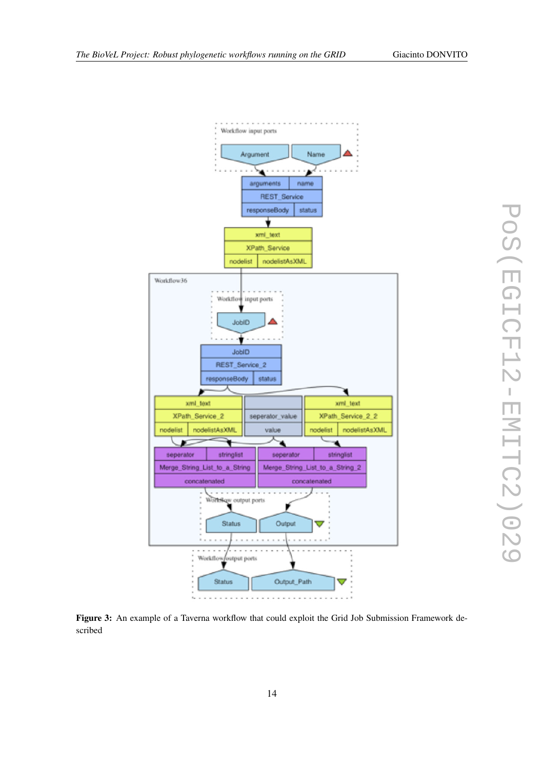<span id="page-13-0"></span>



Figure 3: An example of a Taverna workflow that could exploit the Grid Job Submission Framework described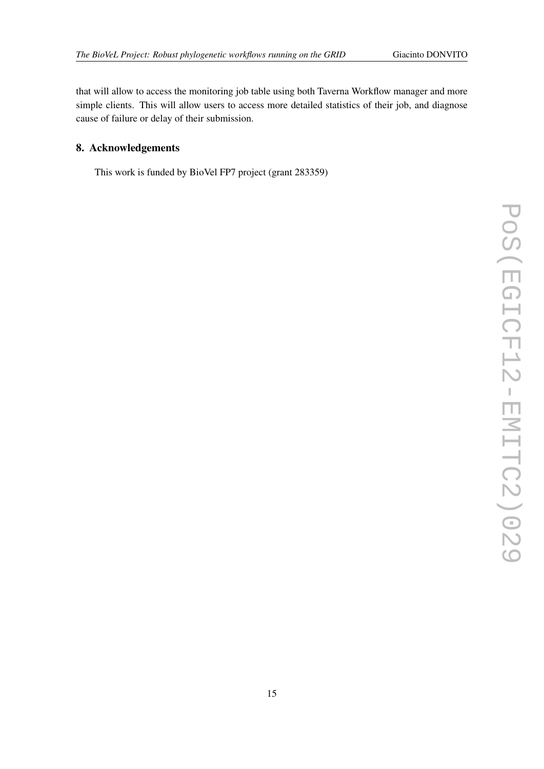that will allow to access the monitoring job table using both Taverna Workflow manager and more simple clients. This will allow users to access more detailed statistics of their job, and diagnose cause of failure or delay of their submission.

# 8. Acknowledgements

This work is funded by BioVel FP7 project (grant 283359)